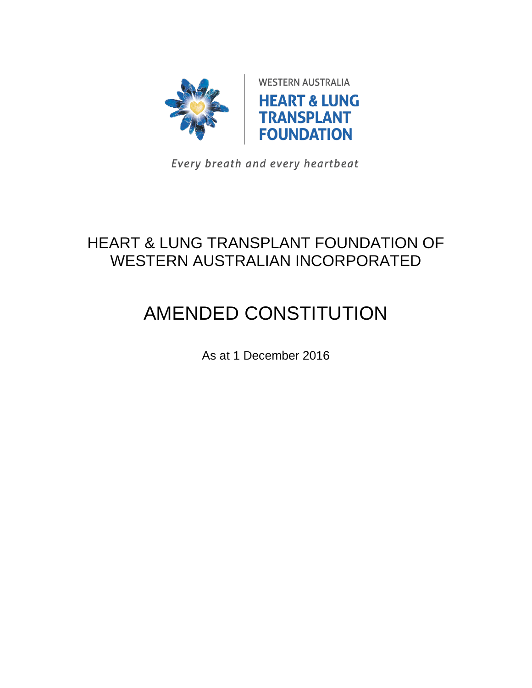

Every breath and every heartbeat

## HEART & LUNG TRANSPLANT FOUNDATION OF WESTERN AUSTRALIAN INCORPORATED

# AMENDED CONSTITUTION

As at 1 December 2016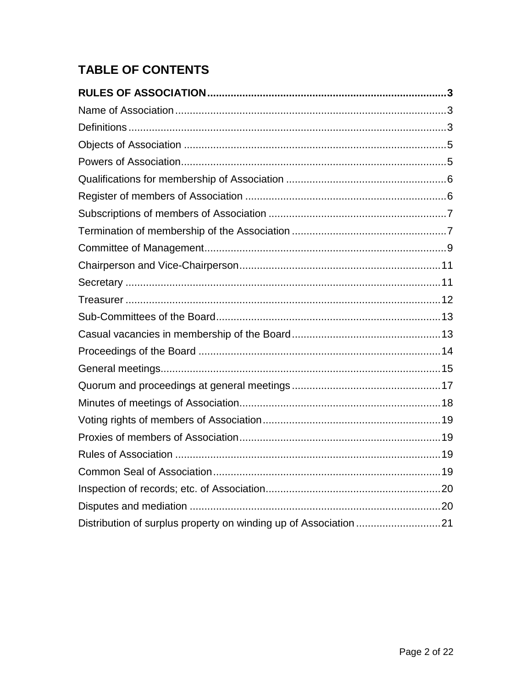### **TABLE OF CONTENTS**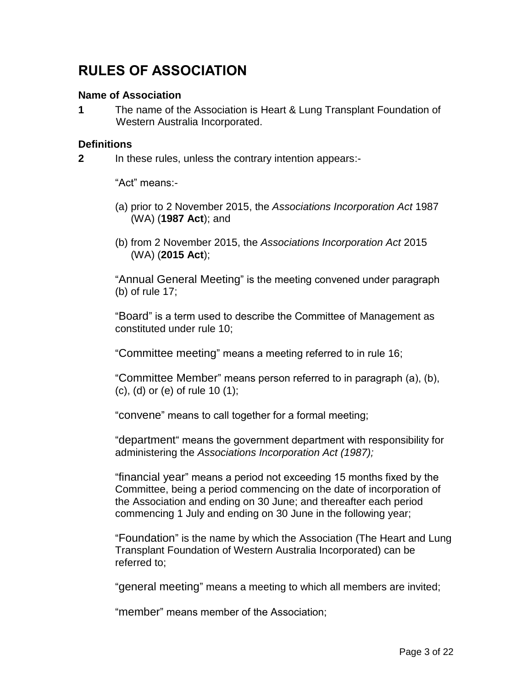## <span id="page-2-0"></span>**RULES OF ASSOCIATION**

#### <span id="page-2-1"></span>**Name of Association**

**1** The name of the Association is Heart & Lung Transplant Foundation of Western Australia Incorporated.

#### <span id="page-2-2"></span>**Definitions**

**2** In these rules, unless the contrary intention appears:-

"Act" means:-

- (a) prior to 2 November 2015, the *Associations Incorporation Act* 1987 (WA) (**1987 Act**); and
- (b) from 2 November 2015, the *Associations Incorporation Act* 2015 (WA) (**2015 Act**);

"Annual General Meeting" is the meeting convened under paragraph (b) of rule 17;

"Board" is a term used to describe the Committee of Management as constituted under rule 10;

"Committee meeting" means a meeting referred to in rule 16;

"Committee Member" means person referred to in paragraph (a), (b), (c), (d) or (e) of rule 10 (1);

"convene" means to call together for a formal meeting;

"department" means the government department with responsibility for administering the *Associations Incorporation Act (1987);*

"financial year" means a period not exceeding 15 months fixed by the Committee, being a period commencing on the date of incorporation of the Association and ending on 30 June; and thereafter each period commencing 1 July and ending on 30 June in the following year;

"Foundation" is the name by which the Association (The Heart and Lung Transplant Foundation of Western Australia Incorporated) can be referred to;

"general meeting" means a meeting to which all members are invited;

"member" means member of the Association;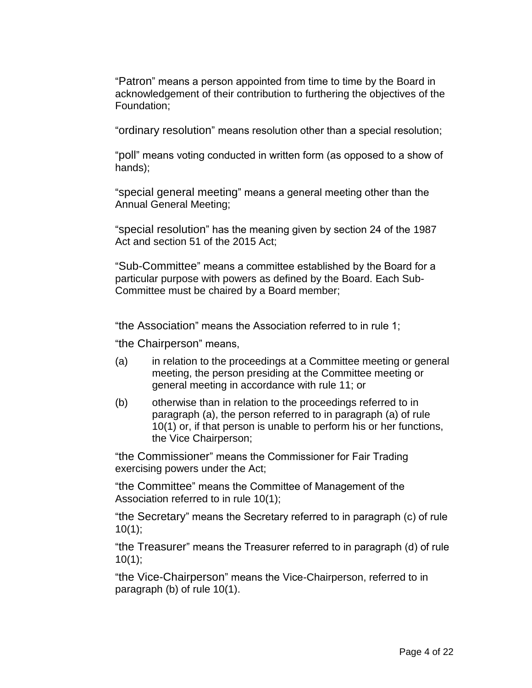"Patron" means a person appointed from time to time by the Board in acknowledgement of their contribution to furthering the objectives of the Foundation;

"ordinary resolution" means resolution other than a special resolution;

"poll" means voting conducted in written form (as opposed to a show of hands);

"special general meeting" means a general meeting other than the Annual General Meeting;

"special resolution" has the meaning given by section 24 of the 1987 Act and section 51 of the 2015 Act;

"Sub-Committee" means a committee established by the Board for a particular purpose with powers as defined by the Board. Each Sub-Committee must be chaired by a Board member;

"the Association" means the Association referred to in rule 1;

"the Chairperson" means,

- (a) in relation to the proceedings at a Committee meeting or general meeting, the person presiding at the Committee meeting or general meeting in accordance with rule 11; or
- (b) otherwise than in relation to the proceedings referred to in paragraph (a), the person referred to in paragraph (a) of rule 10(1) or, if that person is unable to perform his or her functions, the Vice Chairperson;

"the Commissioner" means the Commissioner for Fair Trading exercising powers under the Act;

"the Committee" means the Committee of Management of the Association referred to in rule 10(1);

"the Secretary" means the Secretary referred to in paragraph (c) of rule  $10(1);$ 

"the Treasurer" means the Treasurer referred to in paragraph (d) of rule 10(1);

"the Vice-Chairperson" means the Vice-Chairperson, referred to in paragraph (b) of rule 10(1).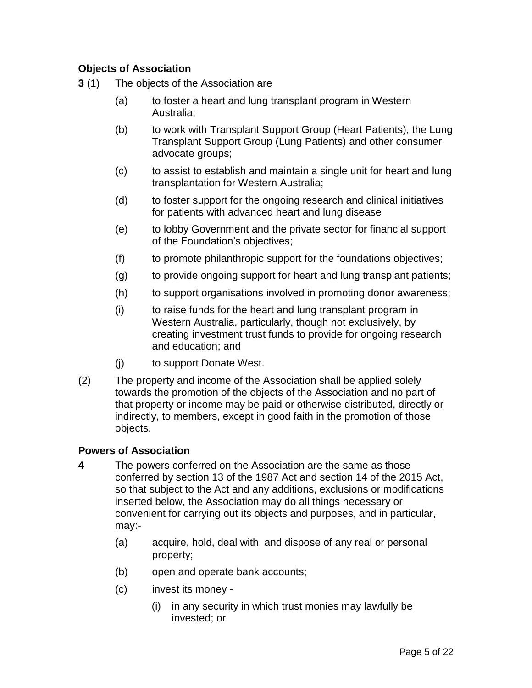#### <span id="page-4-0"></span>**Objects of Association**

- **3** (1) The objects of the Association are
	- (a) to foster a heart and lung transplant program in Western Australia;
	- (b) to work with Transplant Support Group (Heart Patients), the Lung Transplant Support Group (Lung Patients) and other consumer advocate groups;
	- (c) to assist to establish and maintain a single unit for heart and lung transplantation for Western Australia;
	- (d) to foster support for the ongoing research and clinical initiatives for patients with advanced heart and lung disease
	- (e) to lobby Government and the private sector for financial support of the Foundation's objectives;
	- (f) to promote philanthropic support for the foundations objectives;
	- (g) to provide ongoing support for heart and lung transplant patients;
	- (h) to support organisations involved in promoting donor awareness;
	- (i) to raise funds for the heart and lung transplant program in Western Australia, particularly, though not exclusively, by creating investment trust funds to provide for ongoing research and education; and
	- (j) to support Donate West.
- (2) The property and income of the Association shall be applied solely towards the promotion of the objects of the Association and no part of that property or income may be paid or otherwise distributed, directly or indirectly, to members, except in good faith in the promotion of those objects.

#### <span id="page-4-1"></span>**Powers of Association**

- **4** The powers conferred on the Association are the same as those conferred by section 13 of the 1987 Act and section 14 of the 2015 Act, so that subject to the Act and any additions, exclusions or modifications inserted below, the Association may do all things necessary or convenient for carrying out its objects and purposes, and in particular, may:-
	- (a) acquire, hold, deal with, and dispose of any real or personal property;
	- (b) open and operate bank accounts;
	- (c) invest its money
		- (i) in any security in which trust monies may lawfully be invested; or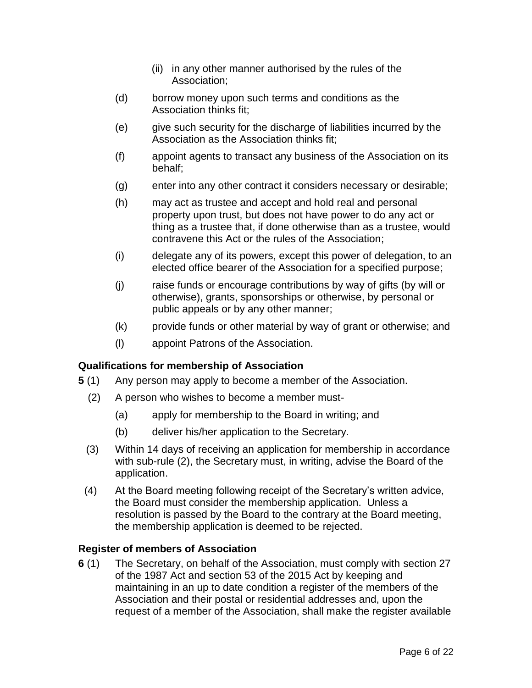- (ii) in any other manner authorised by the rules of the Association;
- (d) borrow money upon such terms and conditions as the Association thinks fit;
- (e) give such security for the discharge of liabilities incurred by the Association as the Association thinks fit;
- (f) appoint agents to transact any business of the Association on its behalf;
- (g) enter into any other contract it considers necessary or desirable;
- (h) may act as trustee and accept and hold real and personal property upon trust, but does not have power to do any act or thing as a trustee that, if done otherwise than as a trustee, would contravene this Act or the rules of the Association;
- (i) delegate any of its powers, except this power of delegation, to an elected office bearer of the Association for a specified purpose;
- (j) raise funds or encourage contributions by way of gifts (by will or otherwise), grants, sponsorships or otherwise, by personal or public appeals or by any other manner;
- (k) provide funds or other material by way of grant or otherwise; and
- (l) appoint Patrons of the Association.

#### <span id="page-5-0"></span>**Qualifications for membership of Association**

- **5** (1) Any person may apply to become a member of the Association.
	- (2) A person who wishes to become a member must-
		- (a) apply for membership to the Board in writing; and
		- (b) deliver his/her application to the Secretary.
	- (3) Within 14 days of receiving an application for membership in accordance with sub-rule (2), the Secretary must, in writing, advise the Board of the application.
- (4) At the Board meeting following receipt of the Secretary's written advice, the Board must consider the membership application. Unless a resolution is passed by the Board to the contrary at the Board meeting, the membership application is deemed to be rejected.

#### <span id="page-5-1"></span>**Register of members of Association**

**6** (1) The Secretary, on behalf of the Association, must comply with section 27 of the 1987 Act and section 53 of the 2015 Act by keeping and maintaining in an up to date condition a register of the members of the Association and their postal or residential addresses and, upon the request of a member of the Association, shall make the register available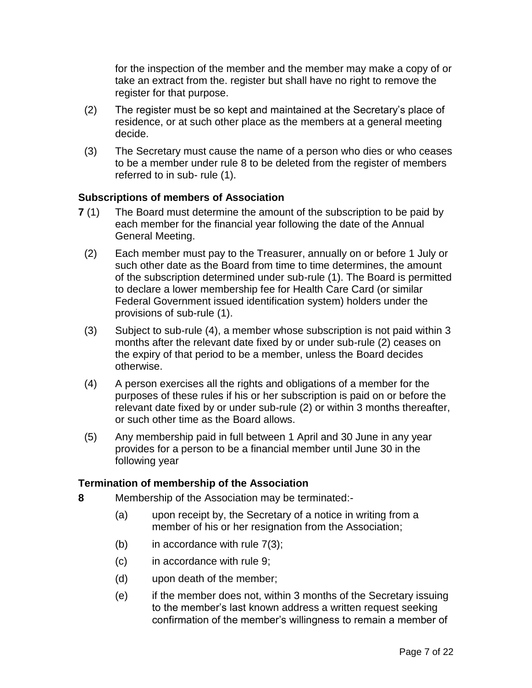for the inspection of the member and the member may make a copy of or take an extract from the. register but shall have no right to remove the register for that purpose.

- (2) The register must be so kept and maintained at the Secretary's place of residence, or at such other place as the members at a general meeting decide.
- (3) The Secretary must cause the name of a person who dies or who ceases to be a member under rule 8 to be deleted from the register of members referred to in sub- rule (1).

#### <span id="page-6-0"></span>**Subscriptions of members of Association**

- **7** (1) The Board must determine the amount of the subscription to be paid by each member for the financial year following the date of the Annual General Meeting.
- (2) Each member must pay to the Treasurer, annually on or before 1 July or such other date as the Board from time to time determines, the amount of the subscription determined under sub-rule (1). The Board is permitted to declare a lower membership fee for Health Care Card (or similar Federal Government issued identification system) holders under the provisions of sub-rule (1).
- (3) Subject to sub-rule (4), a member whose subscription is not paid within 3 months after the relevant date fixed by or under sub-rule (2) ceases on the expiry of that period to be a member, unless the Board decides otherwise.
- (4) A person exercises all the rights and obligations of a member for the purposes of these rules if his or her subscription is paid on or before the relevant date fixed by or under sub-rule (2) or within 3 months thereafter, or such other time as the Board allows.
- (5) Any membership paid in full between 1 April and 30 June in any year provides for a person to be a financial member until June 30 in the following year

#### <span id="page-6-1"></span>**Termination of membership of the Association**

- **8** Membership of the Association may be terminated:-
	- (a) upon receipt by, the Secretary of a notice in writing from a member of his or her resignation from the Association;
	- (b) in accordance with rule  $7(3)$ ;
	- (c) in accordance with rule 9;
	- (d) upon death of the member;
	- (e) if the member does not, within 3 months of the Secretary issuing to the member's last known address a written request seeking confirmation of the member's willingness to remain a member of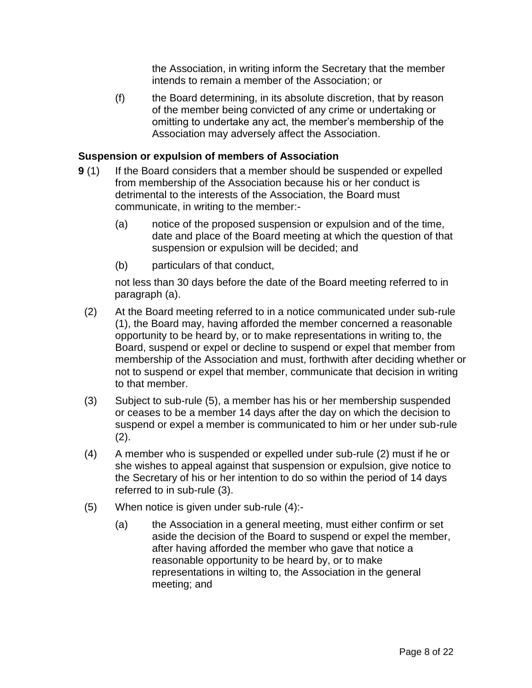the Association, in writing inform the Secretary that the member intends to remain a member of the Association; or

(f) the Board determining, in its absolute discretion, that by reason of the member being convicted of any crime or undertaking or omitting to undertake any act, the member's membership of the Association may adversely affect the Association.

#### **Suspension or expulsion of members of Association**

- **9** (1) If the Board considers that a member should be suspended or expelled from membership of the Association because his or her conduct is detrimental to the interests of the Association, the Board must communicate, in writing to the member:-
	- (a) notice of the proposed suspension or expulsion and of the time, date and place of the Board meeting at which the question of that suspension or expulsion will be decided; and
	- (b) particulars of that conduct,

not less than 30 days before the date of the Board meeting referred to in paragraph (a).

- (2) At the Board meeting referred to in a notice communicated under sub-rule (1), the Board may, having afforded the member concerned a reasonable opportunity to be heard by, or to make representations in writing to, the Board, suspend or expel or decline to suspend or expel that member from membership of the Association and must, forthwith after deciding whether or not to suspend or expel that member, communicate that decision in writing to that member.
- (3) Subject to sub-rule (5), a member has his or her membership suspended or ceases to be a member 14 days after the day on which the decision to suspend or expel a member is communicated to him or her under sub-rule (2).
- (4) A member who is suspended or expelled under sub-rule (2) must if he or she wishes to appeal against that suspension or expulsion, give notice to the Secretary of his or her intention to do so within the period of 14 days referred to in sub-rule (3).
- (5) When notice is given under sub-rule (4):-
	- (a) the Association in a general meeting, must either confirm or set aside the decision of the Board to suspend or expel the member, after having afforded the member who gave that notice a reasonable opportunity to be heard by, or to make representations in wilting to, the Association in the general meeting; and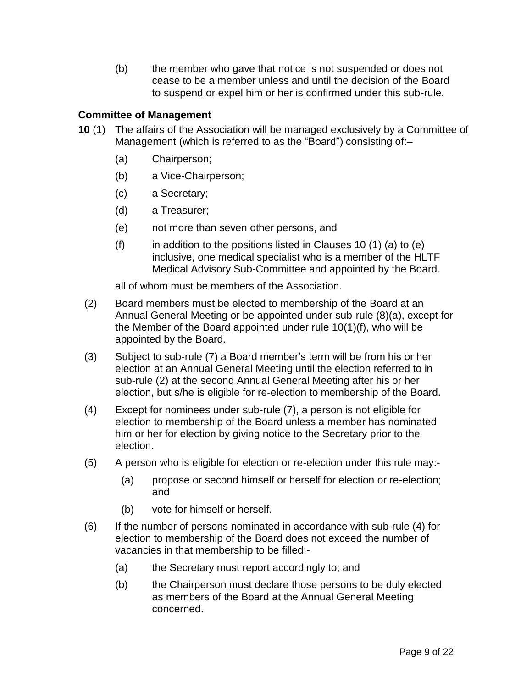(b) the member who gave that notice is not suspended or does not cease to be a member unless and until the decision of the Board to suspend or expel him or her is confirmed under this sub-rule.

#### <span id="page-8-0"></span>**Committee of Management**

- **10** (1) The affairs of the Association will be managed exclusively by a Committee of Management (which is referred to as the "Board") consisting of:–
	- (a) Chairperson;
	- (b) a Vice-Chairperson;
	- (c) a Secretary;
	- (d) a Treasurer;
	- (e) not more than seven other persons, and
	- $(f)$  in addition to the positions listed in Clauses 10 (1) (a) to (e) inclusive, one medical specialist who is a member of the HLTF Medical Advisory Sub-Committee and appointed by the Board.

all of whom must be members of the Association.

- (2) Board members must be elected to membership of the Board at an Annual General Meeting or be appointed under sub-rule (8)(a), except for the Member of the Board appointed under rule 10(1)(f), who will be appointed by the Board.
- (3) Subject to sub-rule (7) a Board member's term will be from his or her election at an Annual General Meeting until the election referred to in sub-rule (2) at the second Annual General Meeting after his or her election, but s/he is eligible for re-election to membership of the Board.
- (4) Except for nominees under sub-rule (7), a person is not eligible for election to membership of the Board unless a member has nominated him or her for election by giving notice to the Secretary prior to the election.
- (5) A person who is eligible for election or re-election under this rule may:-
	- (a) propose or second himself or herself for election or re-election; and
	- (b) vote for himself or herself.
- (6) If the number of persons nominated in accordance with sub-rule (4) for election to membership of the Board does not exceed the number of vacancies in that membership to be filled:-
	- (a) the Secretary must report accordingly to; and
	- (b) the Chairperson must declare those persons to be duly elected as members of the Board at the Annual General Meeting concerned.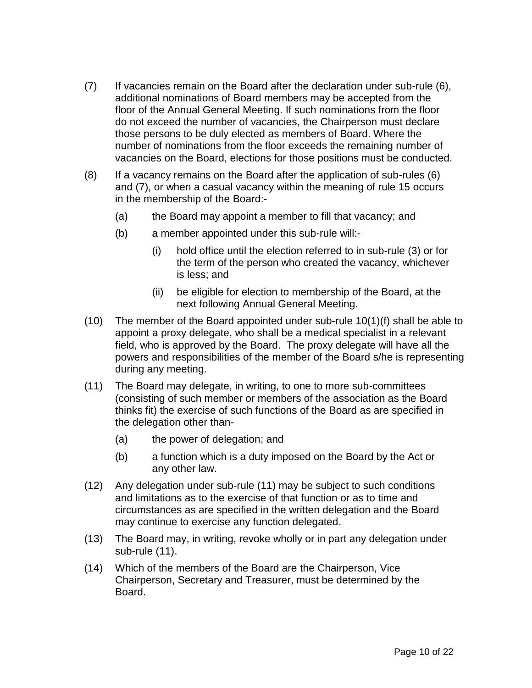- (7) If vacancies remain on the Board after the declaration under sub-rule (6), additional nominations of Board members may be accepted from the floor of the Annual General Meeting. If such nominations from the floor do not exceed the number of vacancies, the Chairperson must declare those persons to be duly elected as members of Board. Where the number of nominations from the floor exceeds the remaining number of vacancies on the Board, elections for those positions must be conducted.
- (8) If a vacancy remains on the Board after the application of sub-rules (6) and (7), or when a casual vacancy within the meaning of rule 15 occurs in the membership of the Board:-
	- (a) the Board may appoint a member to fill that vacancy; and
	- (b) a member appointed under this sub-rule will:-
		- (i) hold office until the election referred to in sub-rule (3) or for the term of the person who created the vacancy, whichever is less; and
		- (ii) be eligible for election to membership of the Board, at the next following Annual General Meeting.
- (10) The member of the Board appointed under sub-rule 10(1)(f) shall be able to appoint a proxy delegate, who shall be a medical specialist in a relevant field, who is approved by the Board. The proxy delegate will have all the powers and responsibilities of the member of the Board s/he is representing during any meeting.
- (11) The Board may delegate, in writing, to one to more sub-committees (consisting of such member or members of the association as the Board thinks fit) the exercise of such functions of the Board as are specified in the delegation other than-
	- (a) the power of delegation; and
	- (b) a function which is a duty imposed on the Board by the Act or any other law.
- (12) Any delegation under sub-rule (11) may be subject to such conditions and limitations as to the exercise of that function or as to time and circumstances as are specified in the written delegation and the Board may continue to exercise any function delegated.
- (13) The Board may, in writing, revoke wholly or in part any delegation under sub-rule (11).
- (14) Which of the members of the Board are the Chairperson, Vice Chairperson, Secretary and Treasurer, must be determined by the Board.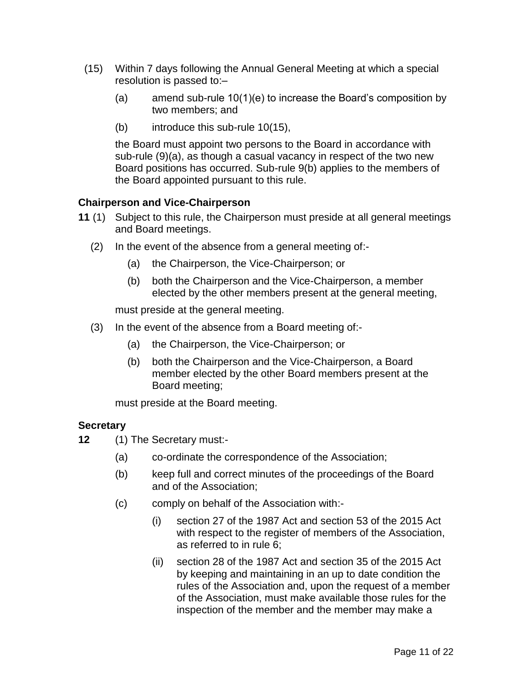- (15) Within 7 days following the Annual General Meeting at which a special resolution is passed to:–
	- (a) amend sub-rule 10(1)(e) to increase the Board's composition by two members; and
	- (b) introduce this sub-rule 10(15),

the Board must appoint two persons to the Board in accordance with sub-rule (9)(a), as though a casual vacancy in respect of the two new Board positions has occurred. Sub-rule 9(b) applies to the members of the Board appointed pursuant to this rule.

#### <span id="page-10-0"></span>**Chairperson and Vice-Chairperson**

- **11** (1) Subject to this rule, the Chairperson must preside at all general meetings and Board meetings.
	- (2) In the event of the absence from a general meeting of:-
		- (a) the Chairperson, the Vice-Chairperson; or
		- (b) both the Chairperson and the Vice-Chairperson, a member elected by the other members present at the general meeting,

must preside at the general meeting.

- (3) In the event of the absence from a Board meeting of:-
	- (a) the Chairperson, the Vice-Chairperson; or
	- (b) both the Chairperson and the Vice-Chairperson, a Board member elected by the other Board members present at the Board meeting;

must preside at the Board meeting.

#### <span id="page-10-1"></span>**Secretary**

- **12** (1) The Secretary must:-
	- (a) co-ordinate the correspondence of the Association;
	- (b) keep full and correct minutes of the proceedings of the Board and of the Association;
	- (c) comply on behalf of the Association with:-
		- (i) section 27 of the 1987 Act and section 53 of the 2015 Act with respect to the register of members of the Association, as referred to in rule 6;
		- (ii) section 28 of the 1987 Act and section 35 of the 2015 Act by keeping and maintaining in an up to date condition the rules of the Association and, upon the request of a member of the Association, must make available those rules for the inspection of the member and the member may make a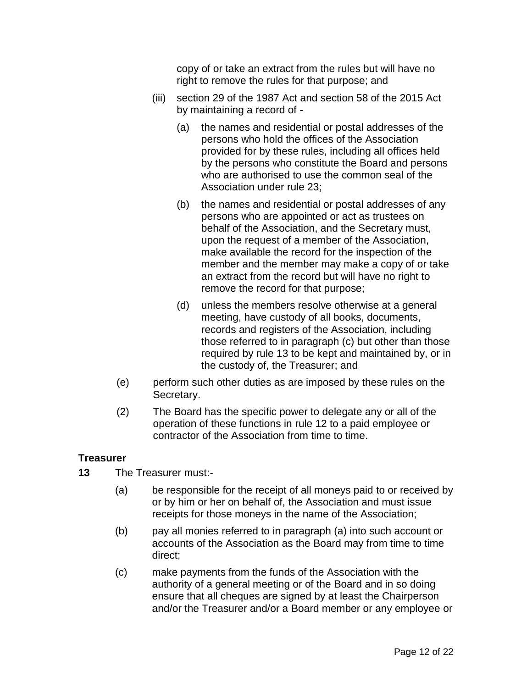copy of or take an extract from the rules but will have no right to remove the rules for that purpose; and

- (iii) section 29 of the 1987 Act and section 58 of the 2015 Act by maintaining a record of -
	- (a) the names and residential or postal addresses of the persons who hold the offices of the Association provided for by these rules, including all offices held by the persons who constitute the Board and persons who are authorised to use the common seal of the Association under rule 23;
	- (b) the names and residential or postal addresses of any persons who are appointed or act as trustees on behalf of the Association, and the Secretary must, upon the request of a member of the Association, make available the record for the inspection of the member and the member may make a copy of or take an extract from the record but will have no right to remove the record for that purpose;
	- (d) unless the members resolve otherwise at a general meeting, have custody of all books, documents, records and registers of the Association, including those referred to in paragraph (c) but other than those required by rule 13 to be kept and maintained by, or in the custody of, the Treasurer; and
- (e) perform such other duties as are imposed by these rules on the Secretary.
- (2) The Board has the specific power to delegate any or all of the operation of these functions in rule 12 to a paid employee or contractor of the Association from time to time.

#### <span id="page-11-0"></span>**Treasurer**

- **13** The Treasurer must:-
	- (a) be responsible for the receipt of all moneys paid to or received by or by him or her on behalf of, the Association and must issue receipts for those moneys in the name of the Association;
	- (b) pay all monies referred to in paragraph (a) into such account or accounts of the Association as the Board may from time to time direct;
	- (c) make payments from the funds of the Association with the authority of a general meeting or of the Board and in so doing ensure that all cheques are signed by at least the Chairperson and/or the Treasurer and/or a Board member or any employee or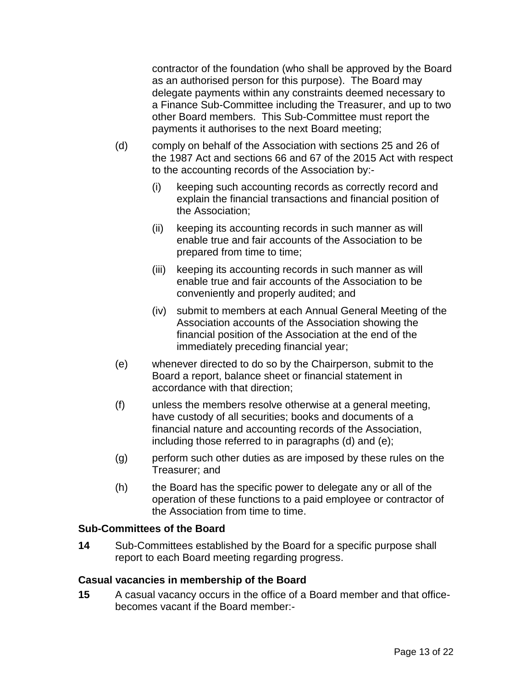contractor of the foundation (who shall be approved by the Board as an authorised person for this purpose). The Board may delegate payments within any constraints deemed necessary to a Finance Sub-Committee including the Treasurer, and up to two other Board members. This Sub-Committee must report the payments it authorises to the next Board meeting;

- (d) comply on behalf of the Association with sections 25 and 26 of the 1987 Act and sections 66 and 67 of the 2015 Act with respect to the accounting records of the Association by:-
	- (i) keeping such accounting records as correctly record and explain the financial transactions and financial position of the Association;
	- (ii) keeping its accounting records in such manner as will enable true and fair accounts of the Association to be prepared from time to time;
	- (iii) keeping its accounting records in such manner as will enable true and fair accounts of the Association to be conveniently and properly audited; and
	- (iv) submit to members at each Annual General Meeting of the Association accounts of the Association showing the financial position of the Association at the end of the immediately preceding financial year;
- (e) whenever directed to do so by the Chairperson, submit to the Board a report, balance sheet or financial statement in accordance with that direction;
- (f) unless the members resolve otherwise at a general meeting, have custody of all securities; books and documents of a financial nature and accounting records of the Association, including those referred to in paragraphs (d) and (e);
- (g) perform such other duties as are imposed by these rules on the Treasurer; and
- (h) the Board has the specific power to delegate any or all of the operation of these functions to a paid employee or contractor of the Association from time to time.

#### <span id="page-12-0"></span>**Sub-Committees of the Board**

**14** Sub-Committees established by the Board for a specific purpose shall report to each Board meeting regarding progress.

#### <span id="page-12-1"></span>**Casual vacancies in membership of the Board**

**15** A casual vacancy occurs in the office of a Board member and that officebecomes vacant if the Board member:-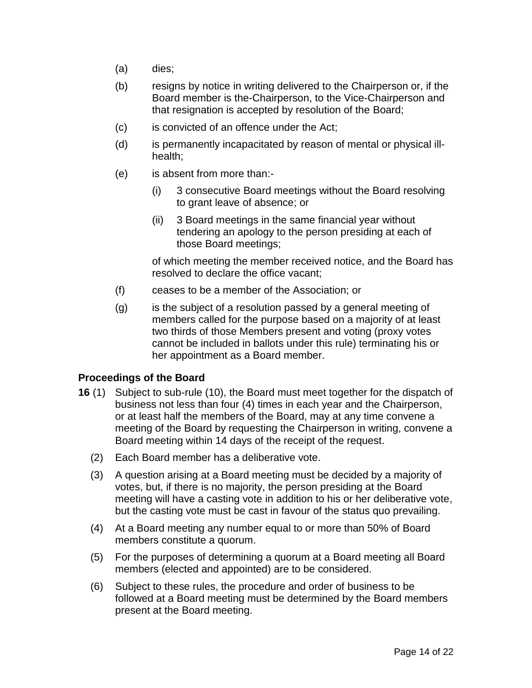- (a) dies;
- (b) resigns by notice in writing delivered to the Chairperson or, if the Board member is the-Chairperson, to the Vice-Chairperson and that resignation is accepted by resolution of the Board;
- (c) is convicted of an offence under the Act;
- (d) is permanently incapacitated by reason of mental or physical illhealth;
- (e) is absent from more than:-
	- (i) 3 consecutive Board meetings without the Board resolving to grant leave of absence; or
	- (ii) 3 Board meetings in the same financial year without tendering an apology to the person presiding at each of those Board meetings;

of which meeting the member received notice, and the Board has resolved to declare the office vacant;

- (f) ceases to be a member of the Association; or
- (g) is the subject of a resolution passed by a general meeting of members called for the purpose based on a majority of at least two thirds of those Members present and voting (proxy votes cannot be included in ballots under this rule) terminating his or her appointment as a Board member.

#### <span id="page-13-0"></span>**Proceedings of the Board**

- **16** (1) Subject to sub-rule (10), the Board must meet together for the dispatch of business not less than four (4) times in each year and the Chairperson, or at least half the members of the Board, may at any time convene a meeting of the Board by requesting the Chairperson in writing, convene a Board meeting within 14 days of the receipt of the request.
	- (2) Each Board member has a deliberative vote.
	- (3) A question arising at a Board meeting must be decided by a majority of votes, but, if there is no majority, the person presiding at the Board meeting will have a casting vote in addition to his or her deliberative vote, but the casting vote must be cast in favour of the status quo prevailing.
	- (4) At a Board meeting any number equal to or more than 50% of Board members constitute a quorum.
	- (5) For the purposes of determining a quorum at a Board meeting all Board members (elected and appointed) are to be considered.
	- (6) Subject to these rules, the procedure and order of business to be followed at a Board meeting must be determined by the Board members present at the Board meeting.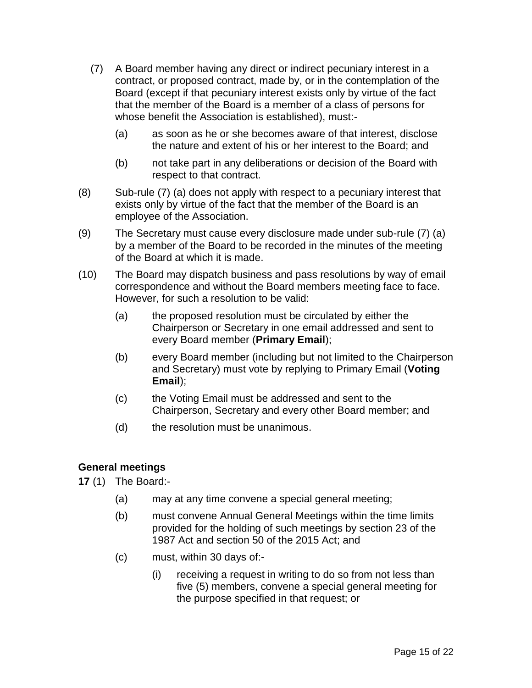- (7) A Board member having any direct or indirect pecuniary interest in a contract, or proposed contract, made by, or in the contemplation of the Board (except if that pecuniary interest exists only by virtue of the fact that the member of the Board is a member of a class of persons for whose benefit the Association is established), must:-
	- (a) as soon as he or she becomes aware of that interest, disclose the nature and extent of his or her interest to the Board; and
	- (b) not take part in any deliberations or decision of the Board with respect to that contract.
- (8) Sub-rule (7) (a) does not apply with respect to a pecuniary interest that exists only by virtue of the fact that the member of the Board is an employee of the Association.
- (9) The Secretary must cause every disclosure made under sub-rule (7) (a) by a member of the Board to be recorded in the minutes of the meeting of the Board at which it is made.
- (10) The Board may dispatch business and pass resolutions by way of email correspondence and without the Board members meeting face to face. However, for such a resolution to be valid:
	- (a) the proposed resolution must be circulated by either the Chairperson or Secretary in one email addressed and sent to every Board member (**Primary Email**);
	- (b) every Board member (including but not limited to the Chairperson and Secretary) must vote by replying to Primary Email (**Voting Email**);
	- (c) the Voting Email must be addressed and sent to the Chairperson, Secretary and every other Board member; and
	- (d) the resolution must be unanimous.

#### <span id="page-14-0"></span>**General meetings**

**17** (1) The Board:-

- (a) may at any time convene a special general meeting;
- (b) must convene Annual General Meetings within the time limits provided for the holding of such meetings by section 23 of the 1987 Act and section 50 of the 2015 Act; and
- (c) must, within 30 days of:-
	- (i) receiving a request in writing to do so from not less than five (5) members, convene a special general meeting for the purpose specified in that request; or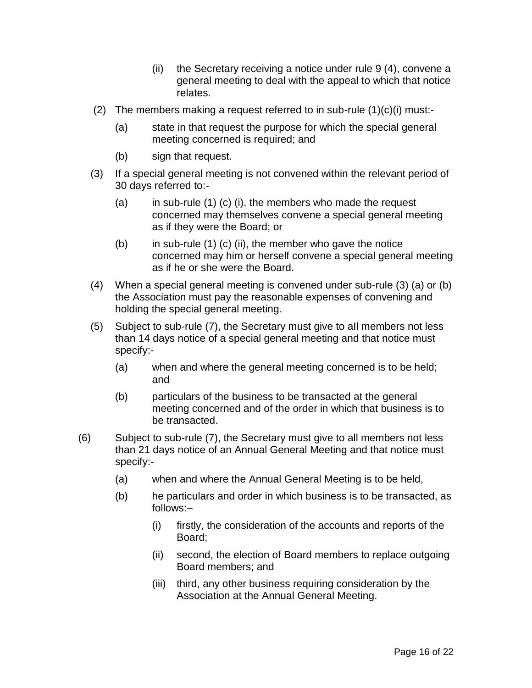- (ii) the Secretary receiving a notice under rule 9 (4), convene a general meeting to deal with the appeal to which that notice relates.
- (2) The members making a request referred to in sub-rule  $(1)(c)(i)$  must:-
	- (a) state in that request the purpose for which the special general meeting concerned is required; and
	- (b) sign that request.
- (3) If a special general meeting is not convened within the relevant period of 30 days referred to:-
	- $(a)$  in sub-rule  $(1)$   $(c)$   $(i)$ , the members who made the request concerned may themselves convene a special general meeting as if they were the Board; or
	- $(b)$  in sub-rule  $(1)$   $(c)$   $(ii)$ , the member who gave the notice concerned may him or herself convene a special general meeting as if he or she were the Board.
- (4) When a special general meeting is convened under sub-rule (3) (a) or (b) the Association must pay the reasonable expenses of convening and holding the special general meeting.
- (5) Subject to sub-rule (7), the Secretary must give to aIl members not less than 14 days notice of a special general meeting and that notice must specify:-
	- (a) when and where the general meeting concerned is to be held; and
	- (b) particulars of the business to be transacted at the general meeting concerned and of the order in which that business is to be transacted.
- (6) Subject to sub-rule (7), the Secretary must give to all members not less than 21 days notice of an Annual General Meeting and that notice must specify:-
	- (a) when and where the Annual General Meeting is to be held,
	- (b) he particulars and order in which business is to be transacted, as follows:–
		- (i) firstly, the consideration of the accounts and reports of the Board;
		- (ii) second, the election of Board members to replace outgoing Board members; and
		- (iii) third, any other business requiring consideration by the Association at the Annual General Meeting.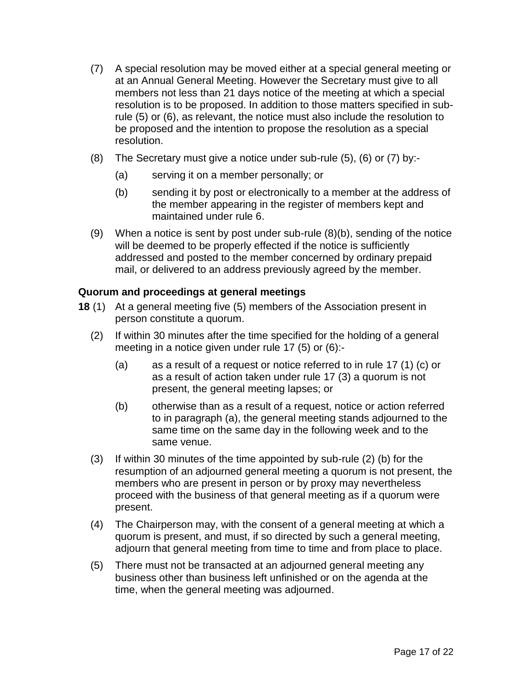- (7) A special resolution may be moved either at a special general meeting or at an Annual General Meeting. However the Secretary must give to all members not less than 21 days notice of the meeting at which a special resolution is to be proposed. In addition to those matters specified in subrule (5) or (6), as relevant, the notice must also include the resolution to be proposed and the intention to propose the resolution as a special resolution.
- (8) The Secretary must give a notice under sub-rule (5), (6) or (7) by:-
	- (a) serving it on a member personally; or
	- (b) sending it by post or electronically to a member at the address of the member appearing in the register of members kept and maintained under rule 6.
- (9) When a notice is sent by post under sub-rule (8)(b), sending of the notice will be deemed to be properly effected if the notice is sufficiently addressed and posted to the member concerned by ordinary prepaid mail, or delivered to an address previously agreed by the member.

#### <span id="page-16-0"></span>**Quorum and proceedings at general meetings**

- **18** (1) At a general meeting five (5) members of the Association present in person constitute a quorum.
	- (2) If within 30 minutes after the time specified for the holding of a general meeting in a notice given under rule 17 (5) or (6):-
		- (a) as a result of a request or notice referred to in rule 17 (1) (c) or as a result of action taken under rule 17 (3) a quorum is not present, the general meeting lapses; or
		- (b) otherwise than as a result of a request, notice or action referred to in paragraph (a), the general meeting stands adjourned to the same time on the same day in the following week and to the same venue.
	- (3) If within 30 minutes of the time appointed by sub-rule (2) (b) for the resumption of an adjourned general meeting a quorum is not present, the members who are present in person or by proxy may nevertheless proceed with the business of that general meeting as if a quorum were present.
	- (4) The Chairperson may, with the consent of a general meeting at which a quorum is present, and must, if so directed by such a general meeting, adjourn that general meeting from time to time and from place to place.
	- (5) There must not be transacted at an adjourned general meeting any business other than business left unfinished or on the agenda at the time, when the general meeting was adjourned.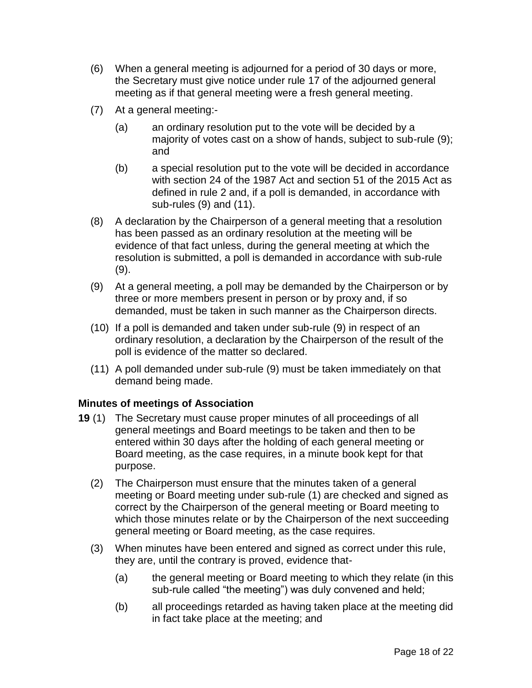- (6) When a general meeting is adjourned for a period of 30 days or more, the Secretary must give notice under rule 17 of the adjourned general meeting as if that general meeting were a fresh general meeting.
- (7) At a general meeting:-
	- (a) an ordinary resolution put to the vote will be decided by a majority of votes cast on a show of hands, subject to sub-rule (9); and
	- (b) a special resolution put to the vote will be decided in accordance with section 24 of the 1987 Act and section 51 of the 2015 Act as defined in rule 2 and, if a poll is demanded, in accordance with sub-rules (9) and (11).
- (8) A declaration by the Chairperson of a general meeting that a resolution has been passed as an ordinary resolution at the meeting will be evidence of that fact unless, during the general meeting at which the resolution is submitted, a poll is demanded in accordance with sub-rule (9).
- (9) At a general meeting, a poll may be demanded by the Chairperson or by three or more members present in person or by proxy and, if so demanded, must be taken in such manner as the Chairperson directs.
- (10) If a poll is demanded and taken under sub-rule (9) in respect of an ordinary resolution, a declaration by the Chairperson of the result of the poll is evidence of the matter so declared.
- (11) A poll demanded under sub-rule (9) must be taken immediately on that demand being made.

#### <span id="page-17-0"></span>**Minutes of meetings of Association**

- **19** (1) The Secretary must cause proper minutes of all proceedings of all general meetings and Board meetings to be taken and then to be entered within 30 days after the holding of each general meeting or Board meeting, as the case requires, in a minute book kept for that purpose.
	- (2) The Chairperson must ensure that the minutes taken of a general meeting or Board meeting under sub-rule (1) are checked and signed as correct by the Chairperson of the general meeting or Board meeting to which those minutes relate or by the Chairperson of the next succeeding general meeting or Board meeting, as the case requires.
	- (3) When minutes have been entered and signed as correct under this rule, they are, until the contrary is proved, evidence that-
		- (a) the general meeting or Board meeting to which they relate (in this sub-rule called "the meeting") was duly convened and held;
		- (b) all proceedings retarded as having taken place at the meeting did in fact take place at the meeting; and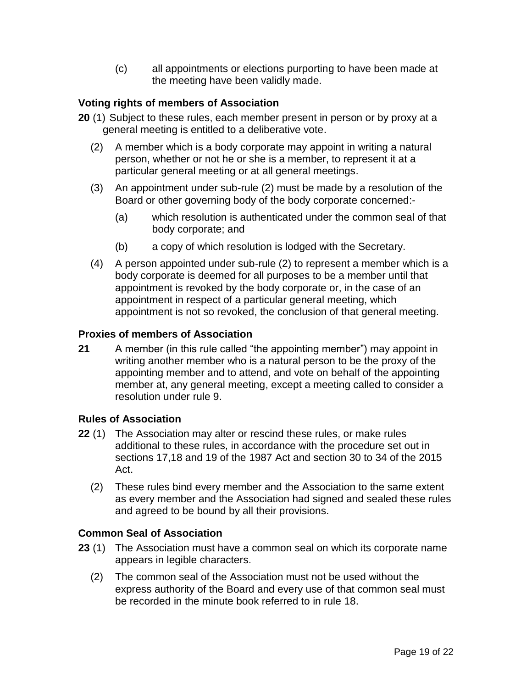(c) all appointments or elections purporting to have been made at the meeting have been validly made.

#### <span id="page-18-0"></span>**Voting rights of members of Association**

- **20** (1) Subject to these rules, each member present in person or by proxy at a general meeting is entitled to a deliberative vote.
	- (2) A member which is a body corporate may appoint in writing a natural person, whether or not he or she is a member, to represent it at a particular general meeting or at all general meetings.
	- (3) An appointment under sub-rule (2) must be made by a resolution of the Board or other governing body of the body corporate concerned:-
		- (a) which resolution is authenticated under the common seal of that body corporate; and
		- (b) a copy of which resolution is lodged with the Secretary.
	- (4) A person appointed under sub-rule (2) to represent a member which is a body corporate is deemed for all purposes to be a member until that appointment is revoked by the body corporate or, in the case of an appointment in respect of a particular general meeting, which appointment is not so revoked, the conclusion of that general meeting.

#### <span id="page-18-1"></span>**Proxies of members of Association**

**21** A member (in this rule called "the appointing member") may appoint in writing another member who is a natural person to be the proxy of the appointing member and to attend, and vote on behalf of the appointing member at, any general meeting, except a meeting called to consider a resolution under rule 9.

#### <span id="page-18-2"></span>**Rules of Association**

- **22** (1) The Association may alter or rescind these rules, or make rules additional to these rules, in accordance with the procedure set out in sections 17,18 and 19 of the 1987 Act and section 30 to 34 of the 2015 Act.
	- (2) These rules bind every member and the Association to the same extent as every member and the Association had signed and sealed these rules and agreed to be bound by all their provisions.

#### <span id="page-18-3"></span>**Common Seal of Association**

- **23** (1) The Association must have a common seal on which its corporate name appears in legible characters.
	- (2) The common seal of the Association must not be used without the express authority of the Board and every use of that common seal must be recorded in the minute book referred to in rule 18.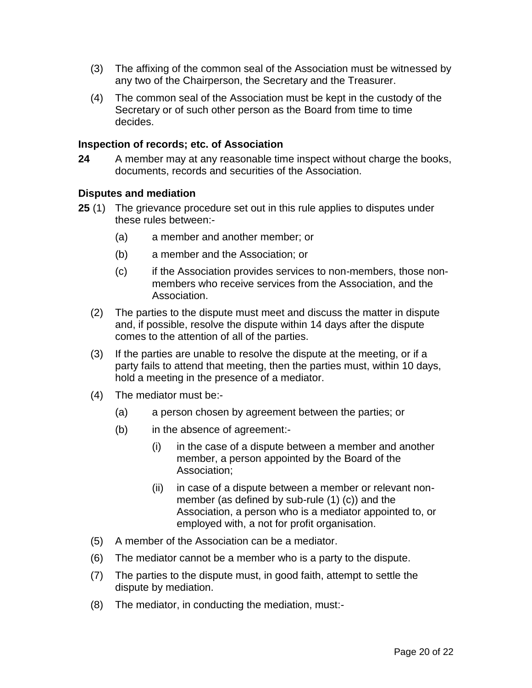- (3) The affixing of the common seal of the Association must be witnessed by any two of the Chairperson, the Secretary and the Treasurer.
- (4) The common seal of the Association must be kept in the custody of the Secretary or of such other person as the Board from time to time decides.

#### <span id="page-19-0"></span>**Inspection of records; etc. of Association**

**24** A member may at any reasonable time inspect without charge the books, documents, records and securities of the Association.

#### <span id="page-19-1"></span>**Disputes and mediation**

- **25** (1) The grievance procedure set out in this rule applies to disputes under these rules between:-
	- (a) a member and another member; or
	- (b) a member and the Association; or
	- (c) if the Association provides services to non-members, those nonmembers who receive services from the Association, and the Association.
	- (2) The parties to the dispute must meet and discuss the matter in dispute and, if possible, resolve the dispute within 14 days after the dispute comes to the attention of all of the parties.
	- (3) If the parties are unable to resolve the dispute at the meeting, or if a party fails to attend that meeting, then the parties must, within 10 days, hold a meeting in the presence of a mediator.
	- (4) The mediator must be:-
		- (a) a person chosen by agreement between the parties; or
		- (b) in the absence of agreement:-
			- (i) in the case of a dispute between a member and another member, a person appointed by the Board of the Association;
			- (ii) in case of a dispute between a member or relevant nonmember (as defined by sub-rule (1) (c)) and the Association, a person who is a mediator appointed to, or employed with, a not for profit organisation.
	- (5) A member of the Association can be a mediator.
	- (6) The mediator cannot be a member who is a party to the dispute.
	- (7) The parties to the dispute must, in good faith, attempt to settle the dispute by mediation.
	- (8) The mediator, in conducting the mediation, must:-